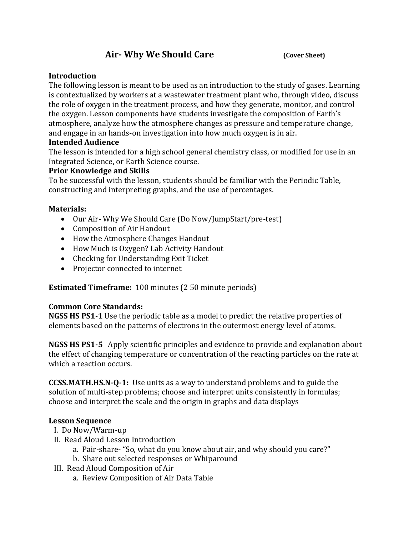# **Air- Why We Should Care (Cover Sheet)**

### **Introduction**

The following lesson is meant to be used as an introduction to the study of gases. Learning is contextualized by workers at a wastewater treatment plant who, through video, discuss the role of oxygen in the treatment process, and how they generate, monitor, and control the oxygen. Lesson components have students investigate the composition of Earth's atmosphere, analyze how the atmosphere changes as pressure and temperature change, and engage in an hands-on investigation into how much oxygen is in air.

### **Intended Audience**

The lesson is intended for a high school general chemistry class, or modified for use in an Integrated Science, or Earth Science course.

### **Prior Knowledge and Skills**

To be successful with the lesson, students should be familiar with the Periodic Table, constructing and interpreting graphs, and the use of percentages.

### **Materials:**

- Our Air- Why We Should Care (Do Now/JumpStart/pre-test)
- Composition of Air Handout
- How the Atmosphere Changes Handout
- How Much is Oxygen? Lab Activity Handout
- Checking for Understanding Exit Ticket
- Projector connected to internet

**Estimated Timeframe:** 100 minutes (2 50 minute periods)

## **Common Core Standards:**

**NGSS HS PS1-1** Use the periodic table as a model to predict the relative properties of elements based on the patterns of electrons in the outermost energy level of atoms.

**NGSS HS PS1-5** Apply scientific principles and evidence to provide and explanation about the effect of changing temperature or concentration of the reacting particles on the rate at which a reaction occurs.

**CCSS.MATH.HS.N-Q-1:** Use units as a way to understand problems and to guide the solution of multi-step problems; choose and interpret units consistently in formulas; choose and interpret the scale and the origin in graphs and data displays

#### **Lesson Sequence**

- I. Do Now/Warm-up
- II. Read Aloud Lesson Introduction
	- a. Pair-share- "So, what do you know about air, and why should you care?"
	- b. Share out selected responses or Whiparound
- III. Read Aloud Composition of Air
	- a. Review Composition of Air Data Table